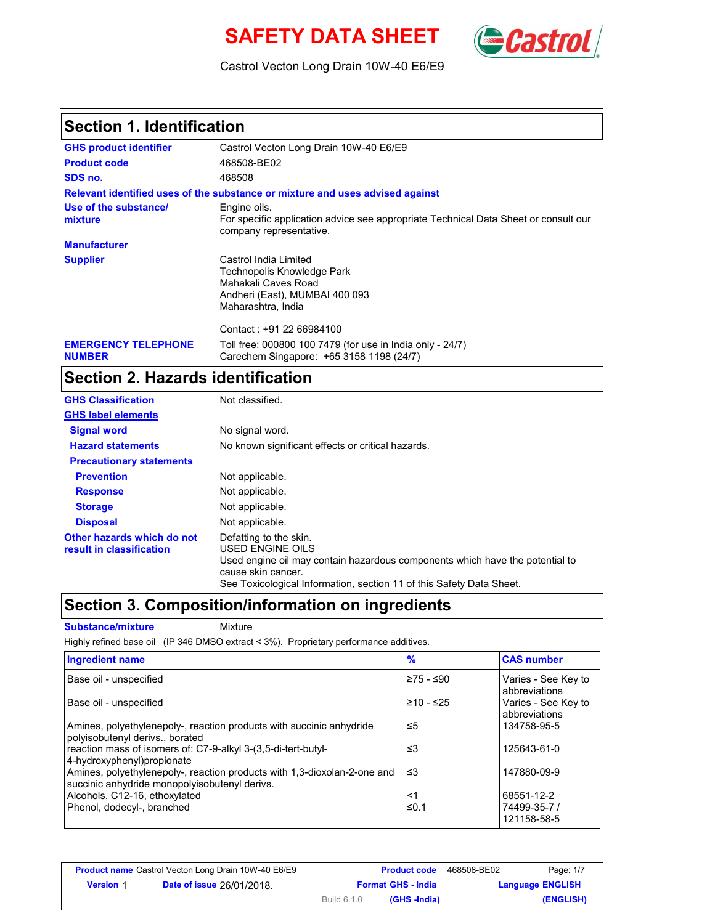# **SAFETY DATA SHEET** *Castrol*



Castrol Vecton Long Drain 10W-40 E6/E9

### **Section 1. Identification**

| <b>GHS product identifier</b>               | Castrol Vecton Long Drain 10W-40 E6/E9                                                                                             |
|---------------------------------------------|------------------------------------------------------------------------------------------------------------------------------------|
| <b>Product code</b>                         | 468508-BE02                                                                                                                        |
| SDS no.                                     | 468508                                                                                                                             |
|                                             | Relevant identified uses of the substance or mixture and uses advised against                                                      |
| Use of the substance/<br>mixture            | Engine oils.<br>For specific application advice see appropriate Technical Data Sheet or consult our<br>company representative.     |
| <b>Manufacturer</b>                         |                                                                                                                                    |
| <b>Supplier</b>                             | Castrol India Limited<br>Technopolis Knowledge Park<br>Mahakali Caves Road<br>Andheri (East), MUMBAI 400 093<br>Maharashtra, India |
|                                             | Contact: +91 22 66984100                                                                                                           |
| <b>EMERGENCY TELEPHONE</b><br><b>NUMBER</b> | Toll free: 000800 100 7479 (for use in India only - 24/7)<br>Carechem Singapore: +65 3158 1198 (24/7)                              |

### **Section 2. Hazards identification**

| <b>GHS Classification</b>                              | Not classified.                                                                                                                                                                                                          |
|--------------------------------------------------------|--------------------------------------------------------------------------------------------------------------------------------------------------------------------------------------------------------------------------|
| <b>GHS label elements</b>                              |                                                                                                                                                                                                                          |
| <b>Signal word</b>                                     | No signal word.                                                                                                                                                                                                          |
| <b>Hazard statements</b>                               | No known significant effects or critical hazards.                                                                                                                                                                        |
| <b>Precautionary statements</b>                        |                                                                                                                                                                                                                          |
| <b>Prevention</b>                                      | Not applicable.                                                                                                                                                                                                          |
| <b>Response</b>                                        | Not applicable.                                                                                                                                                                                                          |
| <b>Storage</b>                                         | Not applicable.                                                                                                                                                                                                          |
| <b>Disposal</b>                                        | Not applicable.                                                                                                                                                                                                          |
| Other hazards which do not<br>result in classification | Defatting to the skin.<br>USED ENGINE OILS<br>Used engine oil may contain hazardous components which have the potential to<br>cause skin cancer.<br>See Toxicological Information, section 11 of this Safety Data Sheet. |

### **Section 3. Composition/information on ingredients**

**Substance/mixture** Mixture

Highly refined base oil (IP 346 DMSO extract < 3%). Proprietary performance additives.

| <b>Ingredient name</b>                                                                                                    | $\frac{9}{6}$ | <b>CAS number</b>                    |
|---------------------------------------------------------------------------------------------------------------------------|---------------|--------------------------------------|
| Base oil - unspecified                                                                                                    | l≥75 - ≤90    | Varies - See Key to<br>abbreviations |
| Base oil - unspecified                                                                                                    | 210 - ≤25     | Varies - See Key to<br>abbreviations |
| Amines, polyethylenepoly-, reaction products with succinic anhydride<br>polyisobutenyl derivs., borated                   | ≤5            | 134758-95-5                          |
| reaction mass of isomers of: C7-9-alkyl 3-(3.5-di-tert-butyl-<br>4-hydroxyphenyl) propionate                              | ≤3            | 125643-61-0                          |
| Amines, polyethylenepoly-, reaction products with 1,3-dioxolan-2-one and<br>succinic anhydride monopolyisobutenyl derivs. | ו≥ ≤          | 147880-09-9                          |
| Alcohols, C12-16, ethoxylated                                                                                             | $<$ 1         | 68551-12-2                           |
| Phenol, dodecyl-, branched                                                                                                | ≤0.1          | 74499-35-7 /<br>121158-58-5          |

| Page: 1/7               | 468508-BE02 | <b>Product code</b>       |                    | <b>Product name</b> Castrol Vecton Long Drain 10W-40 E6/E9 |                  |
|-------------------------|-------------|---------------------------|--------------------|------------------------------------------------------------|------------------|
| <b>Language ENGLISH</b> |             | <b>Format GHS - India</b> |                    | <b>Date of issue 26/01/2018.</b>                           | <b>Version 1</b> |
| (ENGLISH)               |             | (GHS -India)              | <b>Build 6.1.0</b> |                                                            |                  |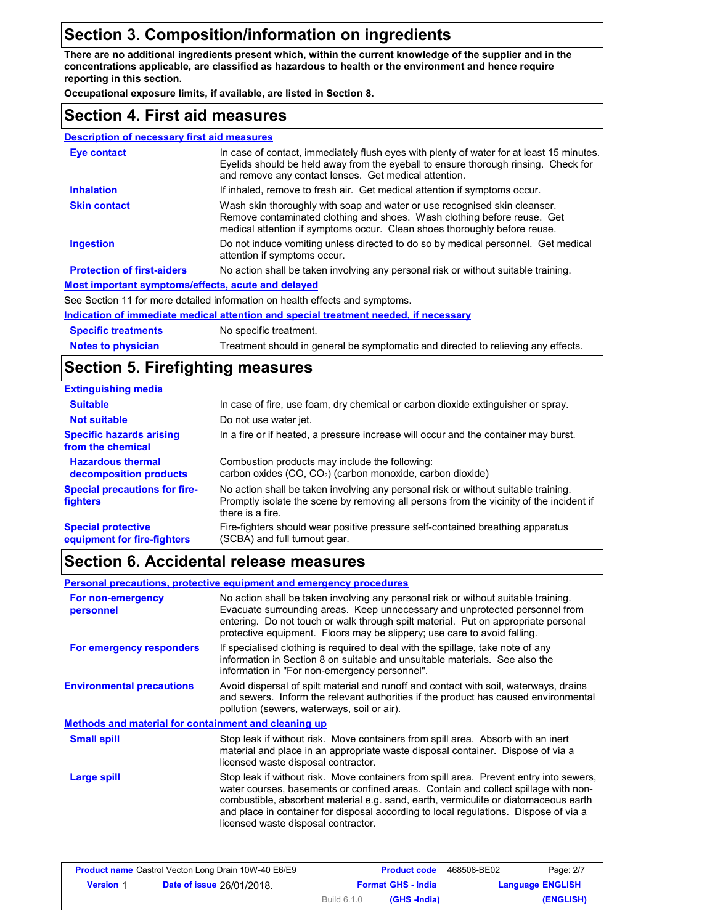### **Section 3. Composition/information on ingredients**

**There are no additional ingredients present which, within the current knowledge of the supplier and in the concentrations applicable, are classified as hazardous to health or the environment and hence require reporting in this section.**

**Occupational exposure limits, if available, are listed in Section 8.**

### **Section 4. First aid measures**

| <b>Description of necessary first aid measures</b> |                                                                                                                                                                                                                                         |
|----------------------------------------------------|-----------------------------------------------------------------------------------------------------------------------------------------------------------------------------------------------------------------------------------------|
| Eye contact                                        | In case of contact, immediately flush eyes with plenty of water for at least 15 minutes.<br>Eyelids should be held away from the eyeball to ensure thorough rinsing. Check for<br>and remove any contact lenses. Get medical attention. |
| <b>Inhalation</b>                                  | If inhaled, remove to fresh air. Get medical attention if symptoms occur.                                                                                                                                                               |
| <b>Skin contact</b>                                | Wash skin thoroughly with soap and water or use recognised skin cleanser.<br>Remove contaminated clothing and shoes. Wash clothing before reuse. Get<br>medical attention if symptoms occur. Clean shoes thoroughly before reuse.       |
| <b>Ingestion</b>                                   | Do not induce vomiting unless directed to do so by medical personnel. Get medical<br>attention if symptoms occur.                                                                                                                       |
| <b>Protection of first-aiders</b>                  | No action shall be taken involving any personal risk or without suitable training.                                                                                                                                                      |
| Most important symptoms/effects, acute and delayed |                                                                                                                                                                                                                                         |
|                                                    | See Section 11 for more detailed information on health effects and symptoms.                                                                                                                                                            |
|                                                    | Indication of immediate medical attention and special treatment needed, if necessary                                                                                                                                                    |
| <b>Specific treatments</b>                         | No specific treatment.                                                                                                                                                                                                                  |

**Notes to physician** Treatment should in general be symptomatic and directed to relieving any effects.

### **Section 5. Firefighting measures**

| <b>Extinguishing media</b>                               |                                                                                                                                                                                                   |
|----------------------------------------------------------|---------------------------------------------------------------------------------------------------------------------------------------------------------------------------------------------------|
| <b>Suitable</b>                                          | In case of fire, use foam, dry chemical or carbon dioxide extinguisher or spray.                                                                                                                  |
| <b>Not suitable</b>                                      | Do not use water jet.                                                                                                                                                                             |
| <b>Specific hazards arising</b><br>from the chemical     | In a fire or if heated, a pressure increase will occur and the container may burst.                                                                                                               |
| <b>Hazardous thermal</b><br>decomposition products       | Combustion products may include the following:<br>carbon oxides (CO, CO <sub>2</sub> ) (carbon monoxide, carbon dioxide)                                                                          |
| <b>Special precautions for fire-</b><br>fighters         | No action shall be taken involving any personal risk or without suitable training.<br>Promptly isolate the scene by removing all persons from the vicinity of the incident if<br>there is a fire. |
| <b>Special protective</b><br>equipment for fire-fighters | Fire-fighters should wear positive pressure self-contained breathing apparatus<br>(SCBA) and full turnout gear.                                                                                   |

### **Section 6. Accidental release measures**

**Personal precautions, protective equipment and emergency procedures**

| For non-emergency<br>personnel                       | No action shall be taken involving any personal risk or without suitable training.<br>Evacuate surrounding areas. Keep unnecessary and unprotected personnel from<br>entering. Do not touch or walk through spilt material. Put on appropriate personal<br>protective equipment. Floors may be slippery; use care to avoid falling.                                                                |
|------------------------------------------------------|----------------------------------------------------------------------------------------------------------------------------------------------------------------------------------------------------------------------------------------------------------------------------------------------------------------------------------------------------------------------------------------------------|
| For emergency responders                             | If specialised clothing is required to deal with the spillage, take note of any<br>information in Section 8 on suitable and unsuitable materials. See also the<br>information in "For non-emergency personnel".                                                                                                                                                                                    |
| <b>Environmental precautions</b>                     | Avoid dispersal of spilt material and runoff and contact with soil, waterways, drains<br>and sewers. Inform the relevant authorities if the product has caused environmental<br>pollution (sewers, waterways, soil or air).                                                                                                                                                                        |
| Methods and material for containment and cleaning up |                                                                                                                                                                                                                                                                                                                                                                                                    |
| <b>Small spill</b>                                   | Stop leak if without risk. Move containers from spill area. Absorb with an inert<br>material and place in an appropriate waste disposal container. Dispose of via a<br>licensed waste disposal contractor.                                                                                                                                                                                         |
| Large spill                                          | Stop leak if without risk. Move containers from spill area. Prevent entry into sewers,<br>water courses, basements or confined areas. Contain and collect spillage with non-<br>combustible, absorbent material e.g. sand, earth, vermiculite or diatomaceous earth<br>and place in container for disposal according to local regulations. Dispose of via a<br>licensed waste disposal contractor. |

| <b>Product name</b> Castrol Vecton Long Drain 10W-40 E6/E9 |                                  |             | <b>Product code</b>       | 468508-BE02 | Page: 2/7               |
|------------------------------------------------------------|----------------------------------|-------------|---------------------------|-------------|-------------------------|
| <b>Version 1</b>                                           | <b>Date of issue 26/01/2018.</b> |             | <b>Format GHS - India</b> |             | <b>Language ENGLISH</b> |
|                                                            |                                  | Build 6.1.0 | (GHS -India)              |             | (ENGLISH)               |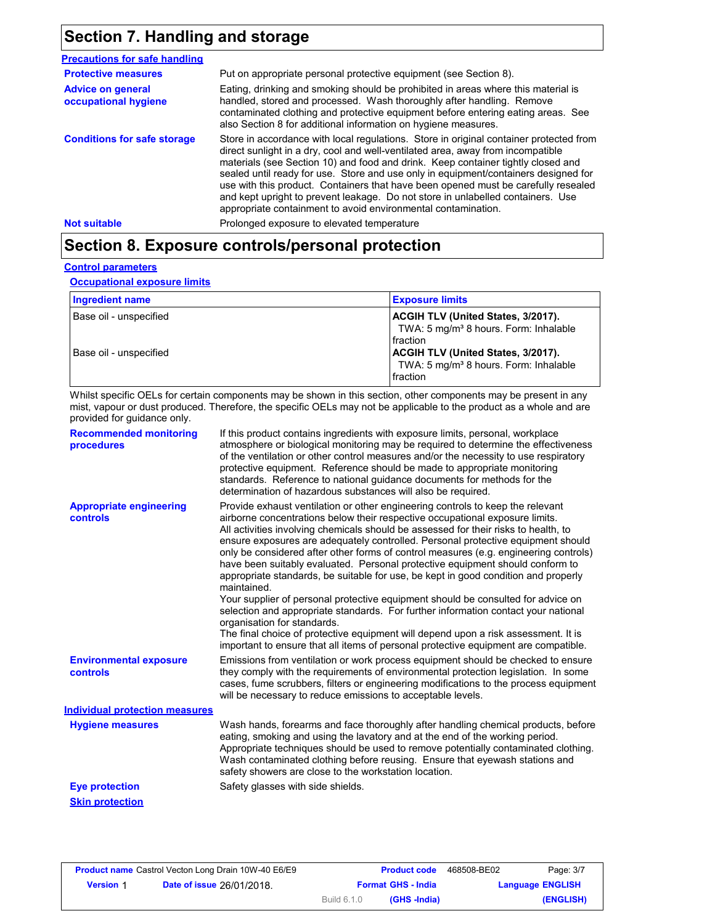### **Section 7. Handling and storage**

| <b>Precautions for safe handling</b>             |                                                                                                                                                                                                                                                                                                                                                                                                                                                                                                                                                                                                |
|--------------------------------------------------|------------------------------------------------------------------------------------------------------------------------------------------------------------------------------------------------------------------------------------------------------------------------------------------------------------------------------------------------------------------------------------------------------------------------------------------------------------------------------------------------------------------------------------------------------------------------------------------------|
| <b>Protective measures</b>                       | Put on appropriate personal protective equipment (see Section 8).                                                                                                                                                                                                                                                                                                                                                                                                                                                                                                                              |
| <b>Advice on general</b><br>occupational hygiene | Eating, drinking and smoking should be prohibited in areas where this material is<br>handled, stored and processed. Wash thoroughly after handling. Remove<br>contaminated clothing and protective equipment before entering eating areas. See<br>also Section 8 for additional information on hygiene measures.                                                                                                                                                                                                                                                                               |
| <b>Conditions for safe storage</b>               | Store in accordance with local regulations. Store in original container protected from<br>direct sunlight in a dry, cool and well-ventilated area, away from incompatible<br>materials (see Section 10) and food and drink. Keep container tightly closed and<br>sealed until ready for use. Store and use only in equipment/containers designed for<br>use with this product. Containers that have been opened must be carefully resealed<br>and kept upright to prevent leakage. Do not store in unlabelled containers. Use<br>appropriate containment to avoid environmental contamination. |
| <b>Not suitable</b>                              | Prolonged exposure to elevated temperature                                                                                                                                                                                                                                                                                                                                                                                                                                                                                                                                                     |

### **Section 8. Exposure controls/personal protection**

#### **Control parameters**

**Occupational exposure limits**

| <b>Ingredient name</b> | <b>Exposure limits</b>                                                                                     |
|------------------------|------------------------------------------------------------------------------------------------------------|
| Base oil - unspecified | <b>ACGIH TLV (United States, 3/2017).</b><br>TWA: 5 mg/m <sup>3</sup> 8 hours. Form: Inhalable<br>fraction |
| Base oil - unspecified | ACGIH TLV (United States, 3/2017).<br>TWA: 5 mg/m <sup>3</sup> 8 hours. Form: Inhalable<br>fraction        |

Whilst specific OELs for certain components may be shown in this section, other components may be present in any mist, vapour or dust produced. Therefore, the specific OELs may not be applicable to the product as a whole and are provided for guidance only.

| <b>Recommended monitoring</b><br>procedures       | If this product contains ingredients with exposure limits, personal, workplace<br>atmosphere or biological monitoring may be required to determine the effectiveness<br>of the ventilation or other control measures and/or the necessity to use respiratory<br>protective equipment. Reference should be made to appropriate monitoring<br>standards. Reference to national guidance documents for methods for the<br>determination of hazardous substances will also be required.                                                                                                                                                                                                                                                                                                                                                                                                                                                                                                                           |
|---------------------------------------------------|---------------------------------------------------------------------------------------------------------------------------------------------------------------------------------------------------------------------------------------------------------------------------------------------------------------------------------------------------------------------------------------------------------------------------------------------------------------------------------------------------------------------------------------------------------------------------------------------------------------------------------------------------------------------------------------------------------------------------------------------------------------------------------------------------------------------------------------------------------------------------------------------------------------------------------------------------------------------------------------------------------------|
| <b>Appropriate engineering</b><br><b>controls</b> | Provide exhaust ventilation or other engineering controls to keep the relevant<br>airborne concentrations below their respective occupational exposure limits.<br>All activities involving chemicals should be assessed for their risks to health, to<br>ensure exposures are adequately controlled. Personal protective equipment should<br>only be considered after other forms of control measures (e.g. engineering controls)<br>have been suitably evaluated. Personal protective equipment should conform to<br>appropriate standards, be suitable for use, be kept in good condition and properly<br>maintained.<br>Your supplier of personal protective equipment should be consulted for advice on<br>selection and appropriate standards. For further information contact your national<br>organisation for standards.<br>The final choice of protective equipment will depend upon a risk assessment. It is<br>important to ensure that all items of personal protective equipment are compatible. |
| <b>Environmental exposure</b><br><b>controls</b>  | Emissions from ventilation or work process equipment should be checked to ensure<br>they comply with the requirements of environmental protection legislation. In some<br>cases, fume scrubbers, filters or engineering modifications to the process equipment<br>will be necessary to reduce emissions to acceptable levels.                                                                                                                                                                                                                                                                                                                                                                                                                                                                                                                                                                                                                                                                                 |
| <b>Individual protection measures</b>             |                                                                                                                                                                                                                                                                                                                                                                                                                                                                                                                                                                                                                                                                                                                                                                                                                                                                                                                                                                                                               |
| <b>Hygiene measures</b>                           | Wash hands, forearms and face thoroughly after handling chemical products, before<br>eating, smoking and using the lavatory and at the end of the working period.<br>Appropriate techniques should be used to remove potentially contaminated clothing.<br>Wash contaminated clothing before reusing. Ensure that eyewash stations and<br>safety showers are close to the workstation location.                                                                                                                                                                                                                                                                                                                                                                                                                                                                                                                                                                                                               |
| <b>Eye protection</b>                             | Safety glasses with side shields.                                                                                                                                                                                                                                                                                                                                                                                                                                                                                                                                                                                                                                                                                                                                                                                                                                                                                                                                                                             |
| <b>Skin protection</b>                            |                                                                                                                                                                                                                                                                                                                                                                                                                                                                                                                                                                                                                                                                                                                                                                                                                                                                                                                                                                                                               |

| <b>Product name</b> Castrol Vecton Long Drain 10W-40 E6/E9 |                                  |                           | <b>Product code</b> | 468508-BE02 | Page: 3/7               |
|------------------------------------------------------------|----------------------------------|---------------------------|---------------------|-------------|-------------------------|
| <b>Version 1</b>                                           | <b>Date of issue 26/01/2018.</b> | <b>Format GHS - India</b> |                     |             | <b>Language ENGLISH</b> |
|                                                            |                                  | Build 6.1.0               | (GHS -India)        |             | (ENGLISH)               |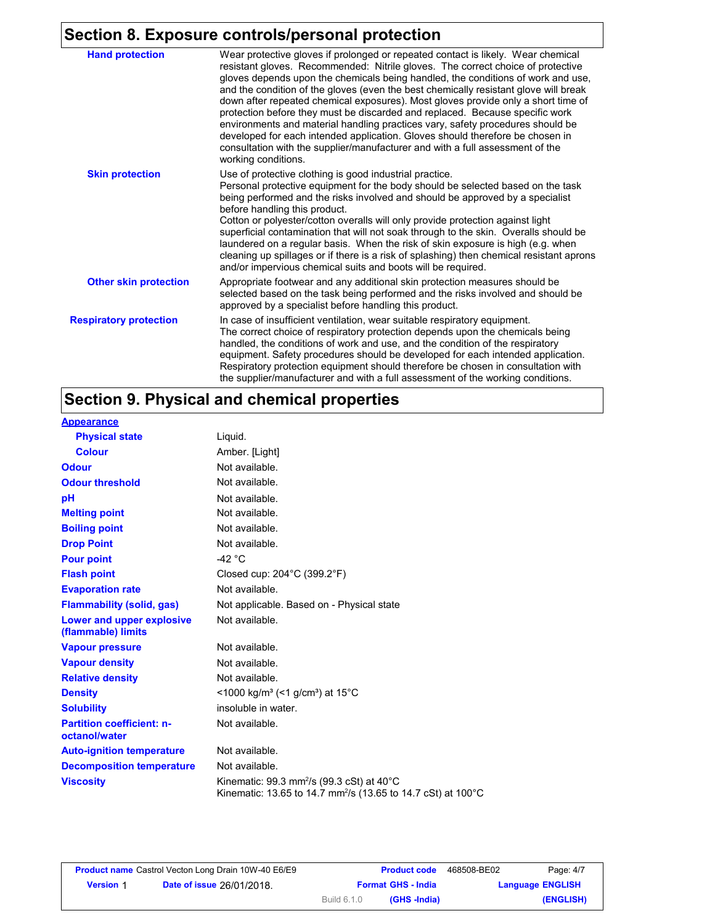# **Section 8. Exposure controls/personal protection**

| <b>Hand protection</b>        | Wear protective gloves if prolonged or repeated contact is likely. Wear chemical<br>resistant gloves. Recommended: Nitrile gloves. The correct choice of protective<br>gloves depends upon the chemicals being handled, the conditions of work and use,<br>and the condition of the gloves (even the best chemically resistant glove will break<br>down after repeated chemical exposures). Most gloves provide only a short time of<br>protection before they must be discarded and replaced. Because specific work<br>environments and material handling practices vary, safety procedures should be<br>developed for each intended application. Gloves should therefore be chosen in<br>consultation with the supplier/manufacturer and with a full assessment of the<br>working conditions. |
|-------------------------------|-------------------------------------------------------------------------------------------------------------------------------------------------------------------------------------------------------------------------------------------------------------------------------------------------------------------------------------------------------------------------------------------------------------------------------------------------------------------------------------------------------------------------------------------------------------------------------------------------------------------------------------------------------------------------------------------------------------------------------------------------------------------------------------------------|
| <b>Skin protection</b>        | Use of protective clothing is good industrial practice.<br>Personal protective equipment for the body should be selected based on the task<br>being performed and the risks involved and should be approved by a specialist<br>before handling this product.<br>Cotton or polyester/cotton overalls will only provide protection against light<br>superficial contamination that will not soak through to the skin. Overalls should be<br>laundered on a regular basis. When the risk of skin exposure is high (e.g. when<br>cleaning up spillages or if there is a risk of splashing) then chemical resistant aprons<br>and/or impervious chemical suits and boots will be required.                                                                                                           |
| <b>Other skin protection</b>  | Appropriate footwear and any additional skin protection measures should be<br>selected based on the task being performed and the risks involved and should be<br>approved by a specialist before handling this product.                                                                                                                                                                                                                                                                                                                                                                                                                                                                                                                                                                         |
| <b>Respiratory protection</b> | In case of insufficient ventilation, wear suitable respiratory equipment.<br>The correct choice of respiratory protection depends upon the chemicals being<br>handled, the conditions of work and use, and the condition of the respiratory<br>equipment. Safety procedures should be developed for each intended application.<br>Respiratory protection equipment should therefore be chosen in consultation with<br>the supplier/manufacturer and with a full assessment of the working conditions.                                                                                                                                                                                                                                                                                           |

## **Section 9. Physical and chemical properties**

| <b>Appearance</b>                                 |                                                                                                                                                  |
|---------------------------------------------------|--------------------------------------------------------------------------------------------------------------------------------------------------|
| <b>Physical state</b>                             | Liguid.                                                                                                                                          |
| <b>Colour</b>                                     | Amber. [Light]                                                                                                                                   |
| <b>Odour</b>                                      | Not available.                                                                                                                                   |
| <b>Odour threshold</b>                            | Not available.                                                                                                                                   |
| pH                                                | Not available.                                                                                                                                   |
| <b>Melting point</b>                              | Not available.                                                                                                                                   |
| <b>Boiling point</b>                              | Not available.                                                                                                                                   |
| <b>Drop Point</b>                                 | Not available.                                                                                                                                   |
| <b>Pour point</b>                                 | -42 $\degree$ C                                                                                                                                  |
| <b>Flash point</b>                                | Closed cup: 204°C (399.2°F)                                                                                                                      |
| <b>Evaporation rate</b>                           | Not available.                                                                                                                                   |
| <b>Flammability (solid, gas)</b>                  | Not applicable. Based on - Physical state                                                                                                        |
| Lower and upper explosive<br>(flammable) limits   | Not available.                                                                                                                                   |
| <b>Vapour pressure</b>                            | Not available.                                                                                                                                   |
| <b>Vapour density</b>                             | Not available.                                                                                                                                   |
| <b>Relative density</b>                           | Not available.                                                                                                                                   |
| <b>Density</b>                                    | <1000 kg/m <sup>3</sup> (<1 g/cm <sup>3</sup> ) at 15 <sup>°</sup> C                                                                             |
| <b>Solubility</b>                                 | insoluble in water.                                                                                                                              |
| <b>Partition coefficient: n-</b><br>octanol/water | Not available.                                                                                                                                   |
| <b>Auto-ignition temperature</b>                  | Not available.                                                                                                                                   |
| <b>Decomposition temperature</b>                  | Not available.                                                                                                                                   |
| <b>Viscosity</b>                                  | Kinematic: $99.3$ mm <sup>2</sup> /s ( $99.3$ cSt) at $40^{\circ}$ C<br>Kinematic: 13.65 to 14.7 mm <sup>2</sup> /s (13.65 to 14.7 cSt) at 100°C |

| Page: 4/7               | 468508-BE02 | <b>Product code</b>       |             | <b>Product name</b> Castrol Vecton Long Drain 10W-40 E6/E9 |                  |
|-------------------------|-------------|---------------------------|-------------|------------------------------------------------------------|------------------|
| <b>Language ENGLISH</b> |             | <b>Format GHS - India</b> |             | <b>Date of issue 26/01/2018.</b>                           | <b>Version 1</b> |
| (ENGLISH)               |             | (GHS -India)              | Build 6.1.0 |                                                            |                  |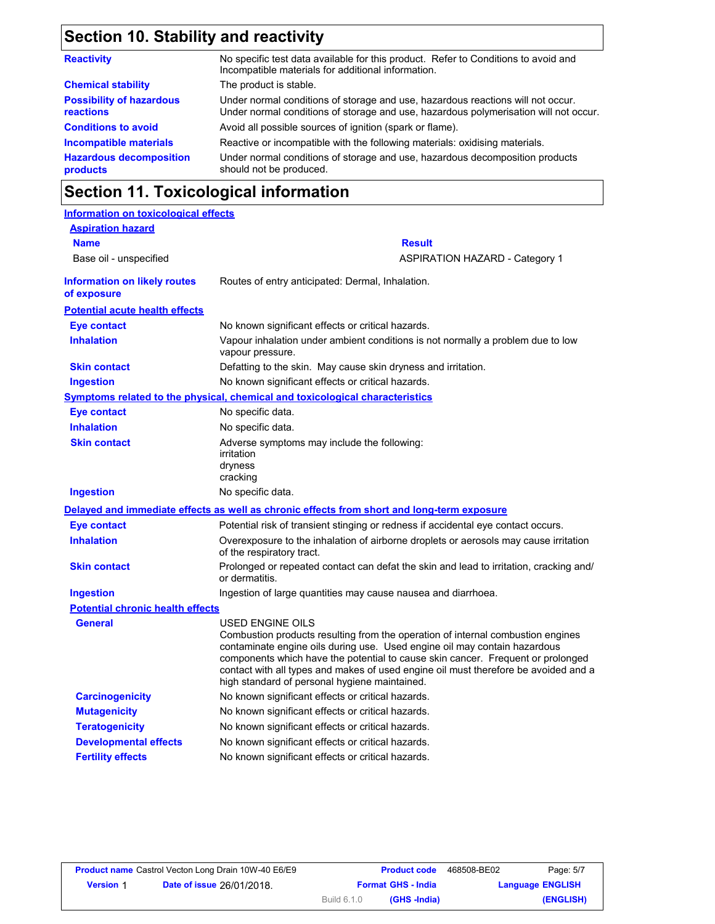# **Section 10. Stability and reactivity**

| No specific test data available for this product. Refer to Conditions to avoid and<br>Incompatible materials for additional information.                                |
|-------------------------------------------------------------------------------------------------------------------------------------------------------------------------|
| The product is stable.                                                                                                                                                  |
| Under normal conditions of storage and use, hazardous reactions will not occur.<br>Under normal conditions of storage and use, hazardous polymerisation will not occur. |
| Avoid all possible sources of ignition (spark or flame).                                                                                                                |
| Reactive or incompatible with the following materials: oxidising materials.                                                                                             |
| Under normal conditions of storage and use, hazardous decomposition products<br>should not be produced.                                                                 |
|                                                                                                                                                                         |

### **Section 11. Toxicological information**

| Information on toxicological effects               |                                                                                                                                                                                                                                                                                                                                                                                                                    |
|----------------------------------------------------|--------------------------------------------------------------------------------------------------------------------------------------------------------------------------------------------------------------------------------------------------------------------------------------------------------------------------------------------------------------------------------------------------------------------|
| <b>Aspiration hazard</b>                           |                                                                                                                                                                                                                                                                                                                                                                                                                    |
| <b>Name</b>                                        | <b>Result</b>                                                                                                                                                                                                                                                                                                                                                                                                      |
| Base oil - unspecified                             | <b>ASPIRATION HAZARD - Category 1</b>                                                                                                                                                                                                                                                                                                                                                                              |
| <b>Information on likely routes</b><br>of exposure | Routes of entry anticipated: Dermal, Inhalation.                                                                                                                                                                                                                                                                                                                                                                   |
| <b>Potential acute health effects</b>              |                                                                                                                                                                                                                                                                                                                                                                                                                    |
| Eye contact                                        | No known significant effects or critical hazards.                                                                                                                                                                                                                                                                                                                                                                  |
| <b>Inhalation</b>                                  | Vapour inhalation under ambient conditions is not normally a problem due to low<br>vapour pressure.                                                                                                                                                                                                                                                                                                                |
| <b>Skin contact</b>                                | Defatting to the skin. May cause skin dryness and irritation.                                                                                                                                                                                                                                                                                                                                                      |
| <b>Ingestion</b>                                   | No known significant effects or critical hazards.                                                                                                                                                                                                                                                                                                                                                                  |
|                                                    | Symptoms related to the physical, chemical and toxicological characteristics                                                                                                                                                                                                                                                                                                                                       |
| Eye contact                                        | No specific data.                                                                                                                                                                                                                                                                                                                                                                                                  |
| <b>Inhalation</b>                                  | No specific data.                                                                                                                                                                                                                                                                                                                                                                                                  |
| <b>Skin contact</b>                                | Adverse symptoms may include the following:<br>irritation<br>dryness<br>cracking                                                                                                                                                                                                                                                                                                                                   |
| <b>Ingestion</b>                                   | No specific data.                                                                                                                                                                                                                                                                                                                                                                                                  |
|                                                    | Delayed and immediate effects as well as chronic effects from short and long-term exposure                                                                                                                                                                                                                                                                                                                         |
| <b>Eye contact</b>                                 | Potential risk of transient stinging or redness if accidental eye contact occurs.                                                                                                                                                                                                                                                                                                                                  |
| <b>Inhalation</b>                                  | Overexposure to the inhalation of airborne droplets or aerosols may cause irritation<br>of the respiratory tract.                                                                                                                                                                                                                                                                                                  |
| <b>Skin contact</b>                                | Prolonged or repeated contact can defat the skin and lead to irritation, cracking and/<br>or dermatitis.                                                                                                                                                                                                                                                                                                           |
| <b>Ingestion</b>                                   | Ingestion of large quantities may cause nausea and diarrhoea.                                                                                                                                                                                                                                                                                                                                                      |
| <b>Potential chronic health effects</b>            |                                                                                                                                                                                                                                                                                                                                                                                                                    |
| General                                            | <b>USED ENGINE OILS</b><br>Combustion products resulting from the operation of internal combustion engines<br>contaminate engine oils during use. Used engine oil may contain hazardous<br>components which have the potential to cause skin cancer. Frequent or prolonged<br>contact with all types and makes of used engine oil must therefore be avoided and a<br>high standard of personal hygiene maintained. |
| <b>Carcinogenicity</b>                             | No known significant effects or critical hazards.                                                                                                                                                                                                                                                                                                                                                                  |
| <b>Mutagenicity</b>                                | No known significant effects or critical hazards.                                                                                                                                                                                                                                                                                                                                                                  |
| <b>Teratogenicity</b>                              | No known significant effects or critical hazards.                                                                                                                                                                                                                                                                                                                                                                  |
| <b>Developmental effects</b>                       | No known significant effects or critical hazards.                                                                                                                                                                                                                                                                                                                                                                  |
| <b>Fertility effects</b>                           | No known significant effects or critical hazards.                                                                                                                                                                                                                                                                                                                                                                  |

| <b>Product name</b> Castrol Vecton Long Drain 10W-40 E6/E9 |                                  |                           | <b>Product code</b> | 468508-BE02 | Page: 5/7               |
|------------------------------------------------------------|----------------------------------|---------------------------|---------------------|-------------|-------------------------|
| <b>Version 1</b>                                           | <b>Date of issue 26/01/2018.</b> | <b>Format GHS - India</b> |                     |             | <b>Language ENGLISH</b> |
|                                                            |                                  | <b>Build 6.1.0</b>        | (GHS -India)        |             | (ENGLISH)               |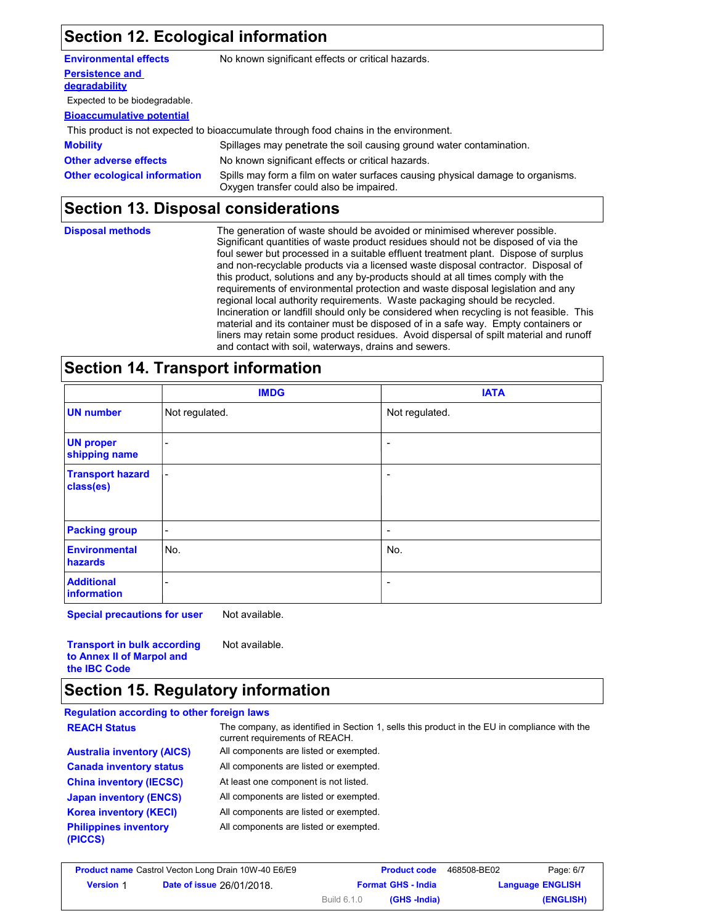### **Section 12. Ecological information**

| <b>Environmental effects</b>        | No known significant effects or critical hazards.                                                                         |
|-------------------------------------|---------------------------------------------------------------------------------------------------------------------------|
| <b>Persistence and</b>              |                                                                                                                           |
| degradability                       |                                                                                                                           |
| Expected to be biodegradable.       |                                                                                                                           |
| <b>Bioaccumulative potential</b>    |                                                                                                                           |
|                                     | This product is not expected to bioaccumulate through food chains in the environment.                                     |
| <b>Mobility</b>                     | Spillages may penetrate the soil causing ground water contamination.                                                      |
| <b>Other adverse effects</b>        | No known significant effects or critical hazards.                                                                         |
| <b>Other ecological information</b> | Spills may form a film on water surfaces causing physical damage to organisms.<br>Oxygen transfer could also be impaired. |

### **Section 13. Disposal considerations**

| <b>Disposal methods</b> | The generation of waste should be avoided or minimised wherever possible.<br>Significant quantities of waste product residues should not be disposed of via the<br>foul sewer but processed in a suitable effluent treatment plant. Dispose of surplus<br>and non-recyclable products via a licensed waste disposal contractor. Disposal of<br>this product, solutions and any by-products should at all times comply with the<br>requirements of environmental protection and waste disposal legislation and any<br>regional local authority requirements. Waste packaging should be recycled.<br>Incineration or landfill should only be considered when recycling is not feasible. This<br>material and its container must be disposed of in a safe way. Empty containers or |
|-------------------------|---------------------------------------------------------------------------------------------------------------------------------------------------------------------------------------------------------------------------------------------------------------------------------------------------------------------------------------------------------------------------------------------------------------------------------------------------------------------------------------------------------------------------------------------------------------------------------------------------------------------------------------------------------------------------------------------------------------------------------------------------------------------------------|
|                         | liners may retain some product residues. Avoid dispersal of spilt material and runoff<br>and contact with soil, waterways, drains and sewers.                                                                                                                                                                                                                                                                                                                                                                                                                                                                                                                                                                                                                                   |

### **Section 14. Transport information**

|                                      | <b>IMDG</b>              | <b>IATA</b>              |
|--------------------------------------|--------------------------|--------------------------|
| <b>UN number</b>                     | Not regulated.           | Not regulated.           |
| <b>UN proper</b><br>shipping name    | -                        | $\overline{\phantom{a}}$ |
| <b>Transport hazard</b><br>class(es) | $\blacksquare$           | $\overline{\phantom{a}}$ |
| <b>Packing group</b>                 | $\overline{\phantom{a}}$ | $\overline{\phantom{0}}$ |
| <b>Environmental</b><br>hazards      | No.                      | No.                      |
| <b>Additional</b><br>information     | ۰                        | $\overline{\phantom{a}}$ |

**Special precautions for user** Not available.

**Transport in bulk according to Annex II of Marpol and the IBC Code** Not available.

### **Section 15. Regulatory information**

#### **Regulation according to other foreign laws** All components are listed or exempted. All components are listed or exempted. At least one component is not listed. All components are listed or exempted. All components are listed or exempted. **Philippines inventory** All components are listed or exempted. **(PICCS) China inventory (IECSC) Canada inventory status Australia inventory (AICS) Korea inventory (KECI) Japan inventory (ENCS) REACH Status** The company, as identified in Section 1, sells this product in the EU in compliance with the current requirements of REACH.

| <b>Product name</b> Castrol Vecton Long Drain 10W-40 E6/E9 |                                  |                    | <b>Product code</b>       | 468508-BE02 | Page: 6/7               |
|------------------------------------------------------------|----------------------------------|--------------------|---------------------------|-------------|-------------------------|
| <b>Version 1</b>                                           | <b>Date of issue 26/01/2018.</b> |                    | <b>Format GHS - India</b> |             | <b>Language ENGLISH</b> |
|                                                            |                                  | <b>Build 6.1.0</b> | (GHS -India)              |             | (ENGLISH)               |